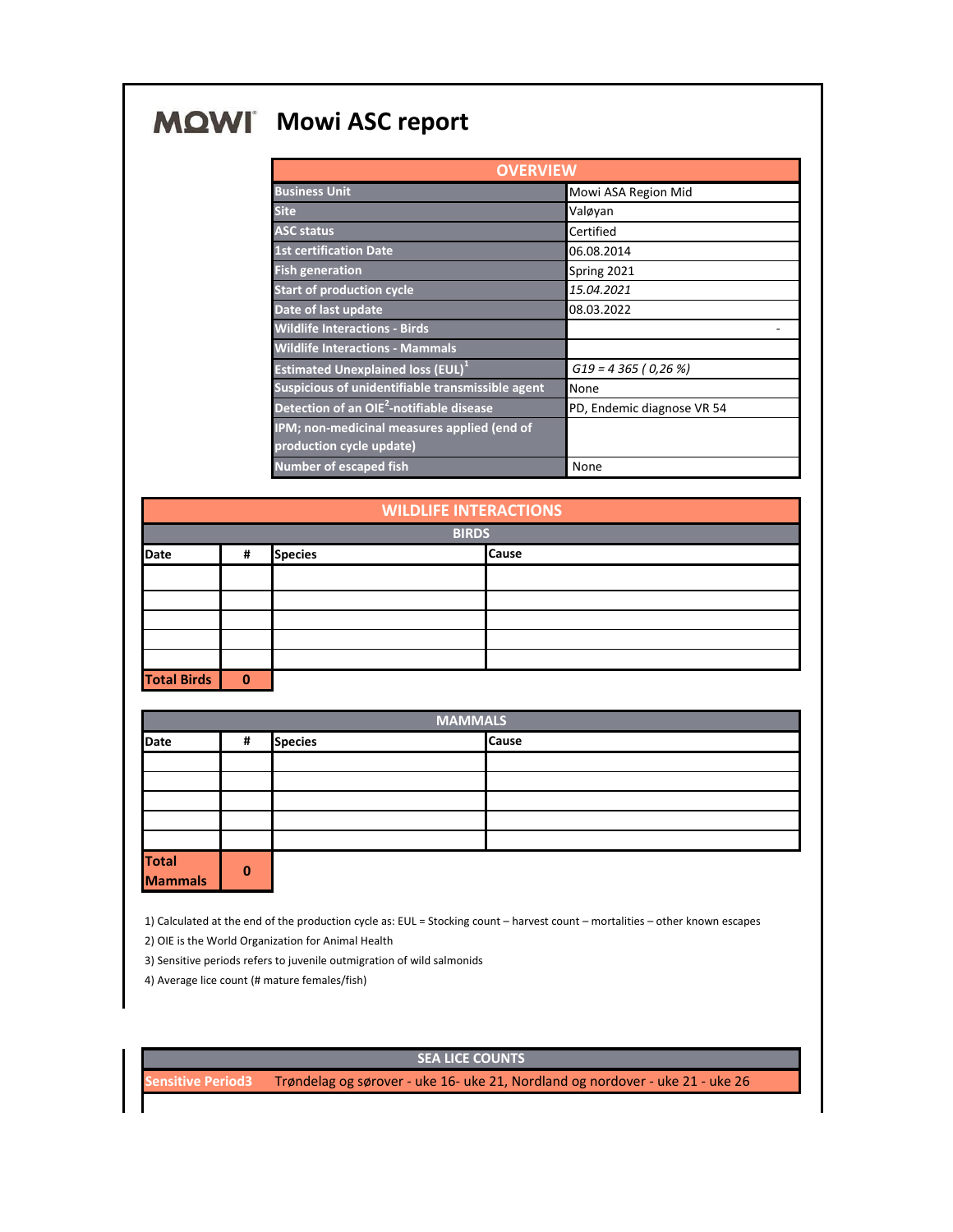## **MQWI** Mowi ASC report

| <b>OVERVIEW</b>                                                         |                            |  |  |
|-------------------------------------------------------------------------|----------------------------|--|--|
| <b>Business Unit</b>                                                    | Mowi ASA Region Mid        |  |  |
| <b>Site</b>                                                             | Valøyan                    |  |  |
| <b>ASC status</b>                                                       | Certified                  |  |  |
| <b>1st certification Date</b>                                           | 06.08.2014                 |  |  |
| <b>Fish generation</b>                                                  | Spring 2021                |  |  |
| <b>Start of production cycle</b>                                        | 15.04.2021                 |  |  |
| Date of last update                                                     | 08.03.2022                 |  |  |
| <b>Wildlife Interactions - Birds</b>                                    |                            |  |  |
| <b>Wildlife Interactions - Mammals</b>                                  |                            |  |  |
| <b>Estimated Unexplained loss (EUL)</b> <sup>1</sup>                    | $G19 = 4365 (0,26%)$       |  |  |
| Suspicious of unidentifiable transmissible agent                        | None                       |  |  |
| Detection of an OIE <sup>2</sup> -notifiable disease                    | PD, Endemic diagnose VR 54 |  |  |
| IPM; non-medicinal measures applied (end of<br>production cycle update) |                            |  |  |
| <b>Number of escaped fish</b>                                           | None                       |  |  |

| <b>WILDLIFE INTERACTIONS</b> |          |                |  |              |
|------------------------------|----------|----------------|--|--------------|
| <b>BIRDS</b>                 |          |                |  |              |
| <b>Date</b>                  | #        | <b>Species</b> |  | <b>Cause</b> |
|                              |          |                |  |              |
|                              |          |                |  |              |
|                              |          |                |  |              |
|                              |          |                |  |              |
|                              |          |                |  |              |
| <b>Total Birds</b>           | $\bf{0}$ |                |  |              |

| <b>MAMMALS</b>           |              |                |  |              |
|--------------------------|--------------|----------------|--|--------------|
| <b>Date</b>              | #            | <b>Species</b> |  | <b>Cause</b> |
|                          |              |                |  |              |
|                          |              |                |  |              |
|                          |              |                |  |              |
|                          |              |                |  |              |
|                          |              |                |  |              |
| <b>Total<br/>Mammals</b> | $\mathbf{0}$ |                |  |              |

1) Calculated at the end of the production cycle as: EUL = Stocking count – harvest count – mortalities – other known escapes

2) OIE is the World Organization for Animal Health

3) Sensitive periods refers to juvenile outmigration of wild salmonids

4) Average lice count (# mature females/fish)

**SEA LICE COUNTS**

**Sensitive Period3** Trøndelag og sørover - uke 16- uke 21, Nordland og nordover - uke 21 - uke 26